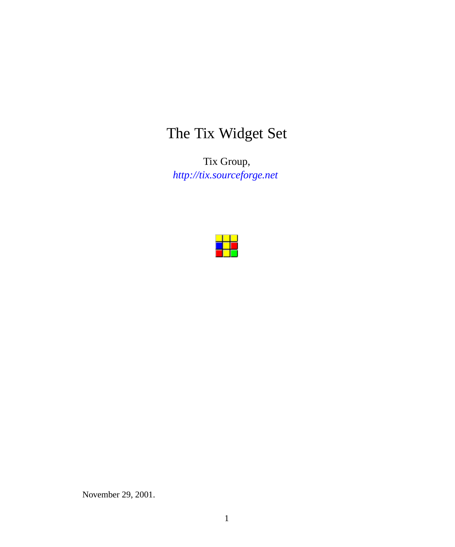# The Tix Widget Set

Tix Group, *<http://tix.sourceforge.net>*



November 29, 2001.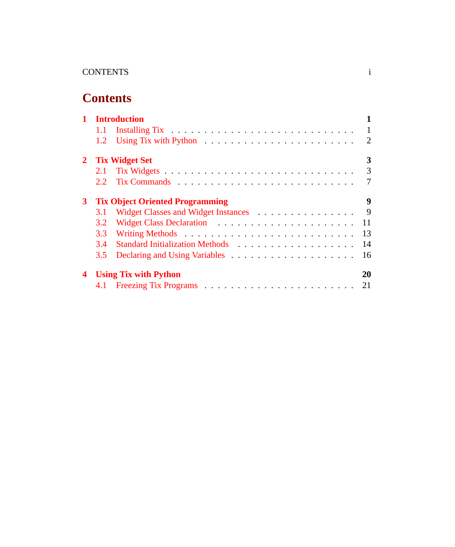# **Contents**

|                | <b>Introduction</b>                    |                                     |                |
|----------------|----------------------------------------|-------------------------------------|----------------|
|                |                                        |                                     |                |
|                | 1.2                                    |                                     | 2              |
|                | 2 Tix Widget Set                       |                                     |                |
|                | 2.1                                    |                                     | $\overline{3}$ |
|                | 2.2                                    |                                     | 7              |
| 3 <sup>1</sup> | <b>Tix Object Oriented Programming</b> |                                     |                |
|                | 3.1                                    | Widget Classes and Widget Instances | $\overline{9}$ |
|                | 3.2                                    |                                     | 11             |
|                | 3.3                                    |                                     | 13             |
|                | 3.4                                    |                                     | 14             |
|                | 3.5                                    |                                     | 16             |
| 4              | <b>Using Tix with Python</b>           |                                     |                |
|                |                                        |                                     | 21             |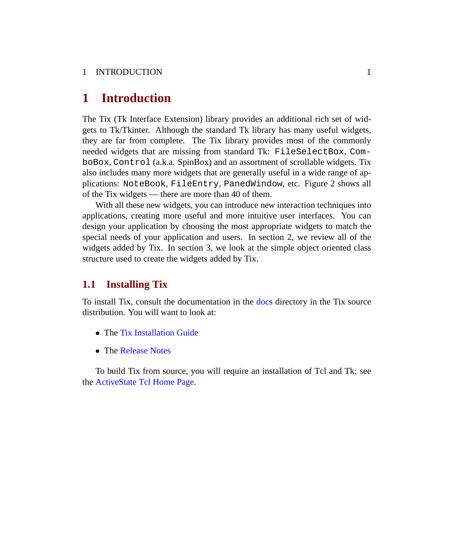### 1 INTRODUCTION 1

### <span id="page-2-0"></span>**1 Introduction**

The Tix (Tk Interface Extension) library provides an additional rich set of widgets to Tk/Tkinter. Although the standard Tk library has many useful widgets, they are far from complete. The Tix library provides most of the commonly needed widgets that are missing from standard Tk: FileSelectBox, ComboBox, Control (a.k.a. SpinBox) and an assortment of scrollable widgets. Tix also includes many more widgets that are generally useful in a wide range of applications: NoteBook, FileEntry, PanedWindow, etc. Figure 2 shows all of the Tix widgets — there are more than 40 of them.

With all these new widgets, you can introduce new interaction techniques into applications, creating more useful and more intuitive user interfaces. You can design your application by choosing the most appropriate widgets to match the special needs of your application and users. In section 2, we review all of the widgets added by Tix. In section 3, we look at the simple object oriented class structure used to create the widgets added by Tix.

### <span id="page-2-1"></span>**1.1 Installing Tix**

To install Tix, consult the documentation in the [docs](http://tix.sourceforge.net/dist/current/docs/) directory in the Tix source distribution. You will want to look at:

- The [Tix Installation Guide](http://tix.sourceforge.net/dist/current/docs/Install.html)
- The [Release Notes](http://tix.sourceforge.net/dist/current/docs/Release.html)

To build Tix from source, you will require an installation of Tcl and Tk; see the [ActiveState Tcl Home Page.](http://tcl.activestate.com/)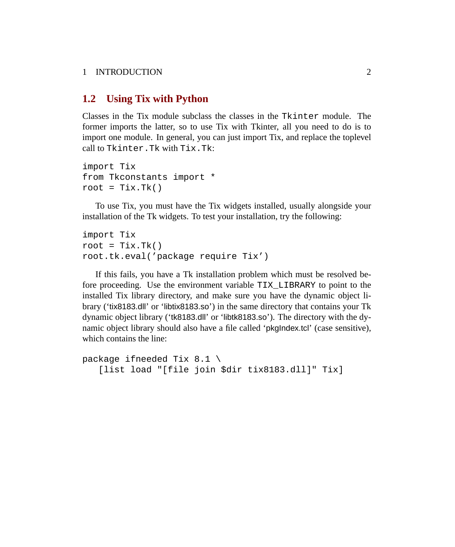### 1 INTRODUCTION 2

### <span id="page-3-0"></span>**1.2 Using Tix with Python**

Classes in the Tix module subclass the classes in the Tkinter module. The former imports the latter, so to use Tix with Tkinter, all you need to do is to import one module. In general, you can just import Tix, and replace the toplevel call to Tkinter.Tk with Tix.Tk:

```
import Tix
from Tkconstants import *
root = Tix.Tk()
```
To use Tix, you must have the Tix widgets installed, usually alongside your installation of the Tk widgets. To test your installation, try the following:

```
import Tix
root = Tix.Tk()root.tk.eval('package require Tix')
```
If this fails, you have a Tk installation problem which must be resolved before proceeding. Use the environment variable TIX\_LIBRARY to point to the installed Tix library directory, and make sure you have the dynamic object library ('tix8183.dll' or 'libtix8183.so') in the same directory that contains your Tk dynamic object library ('tk8183.dll' or 'libtk8183.so'). The directory with the dynamic object library should also have a file called 'pkgIndex.tcl' (case sensitive), which contains the line:

```
package ifneeded Tix 8.1 \
   [list load "[file join $dir tix8183.dll]" Tix]
```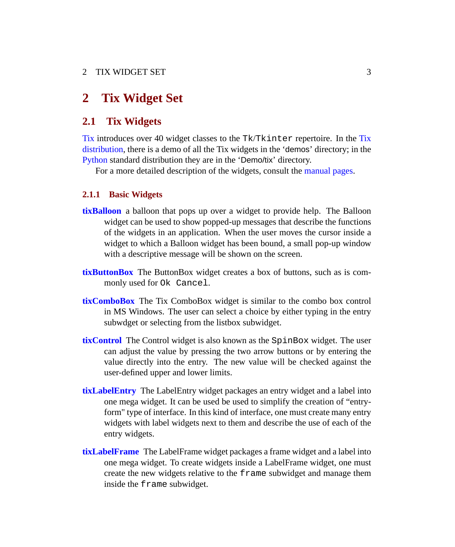### <span id="page-4-0"></span>**2 Tix Widget Set**

### <span id="page-4-1"></span>**2.1 Tix Widgets**

[Tix](http://tix.sourceforge.net/dist/current/man/html/TixCmd/TixIntro.htm) introduces over 40 widget classes to the Tk/Tkinter repertoire. In the [Tix](http://tix.sourceforge.net) [distribution,](http://tix.sourceforge.net) there is a demo of all the Tix widgets in the 'demos' directory; in the [Python](http://python.sourceforge.net) standard distribution they are in the 'Demo/tix' directory.

For a more detailed description of the widgets, consult the [manual pages.](http://tix.sourceforge.net/dist/current/man/html/TixCmd/contents.htm)

#### **2.1.1 Basic Widgets**

- **[tixBalloon](http://tix.sourceforge.net/dist/current/man/html/TixCmd/tixBalloon.htm)** a balloon that pops up over a widget to provide help. The Balloon widget can be used to show popped-up messages that describe the functions of the widgets in an application. When the user moves the cursor inside a widget to which a Balloon widget has been bound, a small pop-up window with a descriptive message will be shown on the screen.
- **[tixButtonBox](http://tix.sourceforge.net/dist/current/man/html/TixCmd/tixButtonBox.htm)** The ButtonBox widget creates a box of buttons, such as is commonly used for Ok Cancel.
- **[tixComboBox](http://tix.sourceforge.net/dist/current/man/html/TixCmd/tixComboBox.htm)** The Tix ComboBox widget is similar to the combo box control in MS Windows. The user can select a choice by either typing in the entry subwdget or selecting from the listbox subwidget.
- **[tixControl](http://tix.sourceforge.net/dist/current/man/html/TixCmd/tixControl.htm)** The Control widget is also known as the SpinBox widget. The user can adjust the value by pressing the two arrow buttons or by entering the value directly into the entry. The new value will be checked against the user-defined upper and lower limits.
- **[tixLabelEntry](http://tix.sourceforge.net/dist/current/man/html/TixCmd/tixLabelEntry.htm)** The LabelEntry widget packages an entry widget and a label into one mega widget. It can be used be used to simplify the creation of "entryform" type of interface. In this kind of interface, one must create many entry widgets with label widgets next to them and describe the use of each of the entry widgets.
- **[tixLabelFrame](http://tix.sourceforge.net/dist/current/man/html/TixCmd/tixLabelFrame.htm)** The LabelFrame widget packages a frame widget and a label into one mega widget. To create widgets inside a LabelFrame widget, one must create the new widgets relative to the frame subwidget and manage them inside the frame subwidget.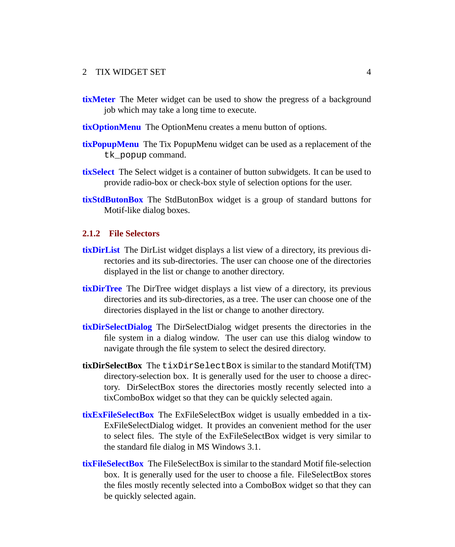- **[tixMeter](http://tix.sourceforge.net/dist/current/man/html/TixCmd/tixMeter.htm)** The Meter widget can be used to show the pregress of a background job which may take a long time to execute.
- **[tixOptionMenu](http://tix.sourceforge.net/dist/current/man/html/TixCmd/tixOptionMenu.htm)** The OptionMenu creates a menu button of options.
- **[tixPopupMenu](http://tix.sourceforge.net/dist/current/man/html/TixCmd/tixPopupMenu.htm)** The Tix PopupMenu widget can be used as a replacement of the tk\_popup command.
- **[tixSelect](http://tix.sourceforge.net/dist/current/man/html/TixCmd/tixSelect.htm)** The Select widget is a container of button subwidgets. It can be used to provide radio-box or check-box style of selection options for the user.
- **[tixStdButonBox](http://tix.sourceforge.net/dist/current/man/html/TixCmd/tixStdButtonBox.htm)** The StdButonBox widget is a group of standard buttons for Motif-like dialog boxes.

### **2.1.2 File Selectors**

- **[tixDirList](http://tix.sourceforge.net/dist/current/man/html/TixCmd/tixDirList.htm)** The DirList widget displays a list view of a directory, its previous directories and its sub-directories. The user can choose one of the directories displayed in the list or change to another directory.
- **[tixDirTree](http://tix.sourceforge.net/dist/current/man/html/TixCmd/tixDirTree.htm)** The DirTree widget displays a list view of a directory, its previous directories and its sub-directories, as a tree. The user can choose one of the directories displayed in the list or change to another directory.
- **[tixDirSelectDialog](http://tix.sourceforge.net/dist/current/man/html/TixCmd/tixDirSelectDialog.htm)** The DirSelectDialog widget presents the directories in the file system in a dialog window. The user can use this dialog window to navigate through the file system to select the desired directory.
- **tixDirSelectBox** The tixDirSelectBox is similar to the standard Motif(TM) directory-selection box. It is generally used for the user to choose a directory. DirSelectBox stores the directories mostly recently selected into a tixComboBox widget so that they can be quickly selected again.
- **[tixExFileSelectBox](http://tix.sourceforge.net/dist/current/man/html/TixCmd/tixExFileSelectBox.htm)** The ExFileSelectBox widget is usually embedded in a tix-ExFileSelectDialog widget. It provides an convenient method for the user to select files. The style of the ExFileSelectBox widget is very similar to the standard file dialog in MS Windows 3.1.
- **[tixFileSelectBox](http://tix.sourceforge.net/dist/current/man/html/TixCmd/tixFileSelectBox.htm)** The FileSelectBox is similar to the standard Motif file-selection box. It is generally used for the user to choose a file. FileSelectBox stores the files mostly recently selected into a ComboBox widget so that they can be quickly selected again.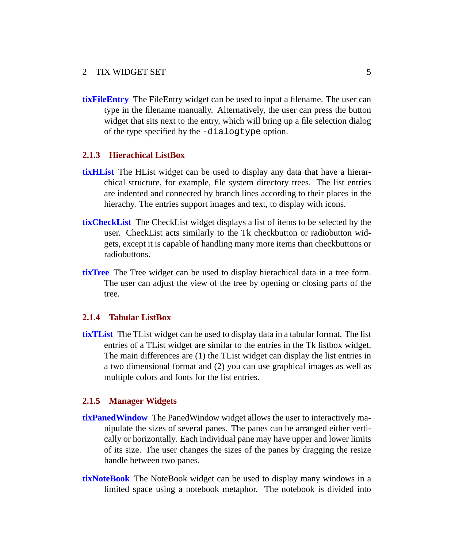**[tixFileEntry](http://tix.sourceforge.net/dist/current/man/html/TixCmd/tixFileEntry.htm)** The FileEntry widget can be used to input a filename. The user can type in the filename manually. Alternatively, the user can press the button widget that sits next to the entry, which will bring up a file selection dialog of the type specified by the -dialogtype option.

### **2.1.3 Hierachical ListBox**

- **[tixHList](http://tix.sourceforge.net/dist/current/man/html/TixCmd/tixHList.htm)** The HList widget can be used to display any data that have a hierarchical structure, for example, file system directory trees. The list entries are indented and connected by branch lines according to their places in the hierachy. The entries support images and text, to display with icons.
- **[tixCheckList](http://tix.sourceforge.net/dist/current/man/html/TixCmd/tixCheckList.htm)** The CheckList widget displays a list of items to be selected by the user. CheckList acts similarly to the Tk checkbutton or radiobutton widgets, except it is capable of handling many more items than checkbuttons or radiobuttons.
- **[tixTree](http://tix.sourceforge.net/dist/current/man/html/TixCmd/tixTree.htm)** The Tree widget can be used to display hierachical data in a tree form. The user can adjust the view of the tree by opening or closing parts of the tree.

#### **2.1.4 Tabular ListBox**

**[tixTList](http://tix.sourceforge.net/dist/current/man/html/TixCmd/tixTList.htm)** The TList widget can be used to display data in a tabular format. The list entries of a TList widget are similar to the entries in the Tk listbox widget. The main differences are (1) the TList widget can display the list entries in a two dimensional format and (2) you can use graphical images as well as multiple colors and fonts for the list entries.

#### **2.1.5 Manager Widgets**

- **[tixPanedWindow](http://tix.sourceforge.net/dist/current/man/html/TixCmd/tixPanedWindow.htm)** The PanedWindow widget allows the user to interactively manipulate the sizes of several panes. The panes can be arranged either vertically or horizontally. Each individual pane may have upper and lower limits of its size. The user changes the sizes of the panes by dragging the resize handle between two panes.
- **[tixNoteBook](http://tix.sourceforge.net/dist/current/man/html/TixCmd/tixNoteBook.htm)** The NoteBook widget can be used to display many windows in a limited space using a notebook metaphor. The notebook is divided into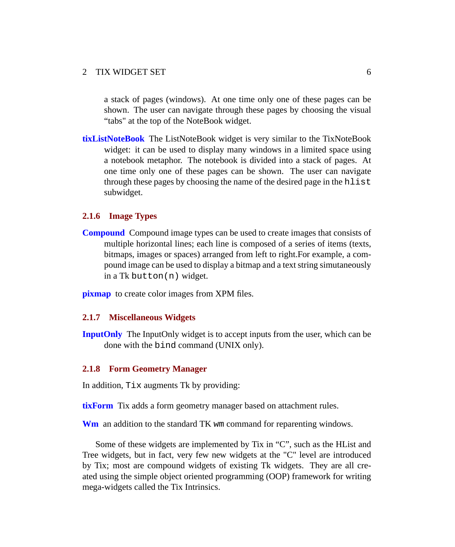a stack of pages (windows). At one time only one of these pages can be shown. The user can navigate through these pages by choosing the visual "tabs" at the top of the NoteBook widget.

**[tixListNoteBook](http://tix.sourceforge.net/dist/current/man/html/TixCmd/tixListNoteBook.htm)** The ListNoteBook widget is very similar to the TixNoteBook widget: it can be used to display many windows in a limited space using a notebook metaphor. The notebook is divided into a stack of pages. At one time only one of these pages can be shown. The user can navigate through these pages by choosing the name of the desired page in the hlist subwidget.

#### **2.1.6 Image Types**

**[Compound](http://tix.sourceforge.net/dist/current/man/html/TixCmd/compound.htm)** Compound image types can be used to create images that consists of multiple horizontal lines; each line is composed of a series of items (texts, bitmaps, images or spaces) arranged from left to right.For example, a compound image can be used to display a bitmap and a text string simutaneously in a Tk button(n) widget.

**[pixmap](http://tix.sourceforge.net/dist/current/man/html/TixCmd/pixmap.htm)** to create color images from XPM files.

#### **2.1.7 Miscellaneous Widgets**

**[InputOnly](http://tix.sourceforge.net/dist/current/man/html/TixCmd/tixInputOnly.htm)** The InputOnly widget is to accept inputs from the user, which can be done with the bind command (UNIX only).

#### **2.1.8 Form Geometry Manager**

In addition, Tix augments Tk by providing:

**[tixForm](http://tix.sourceforge.net/dist/current/man/html/TixCmd/tixForm.htm)** Tix adds a form geometry manager based on attachment rules.

**[Wm](http://tix.sourceforge.net/dist/current/man/html/TixCmd/Wm.html)** an addition to the standard TK wm command for reparenting windows.

Some of these widgets are implemented by Tix in "C", such as the HList and Tree widgets, but in fact, very few new widgets at the "C" level are introduced by Tix; most are compound widgets of existing Tk widgets. They are all created using the simple object oriented programming (OOP) framework for writing mega-widgets called the Tix Intrinsics.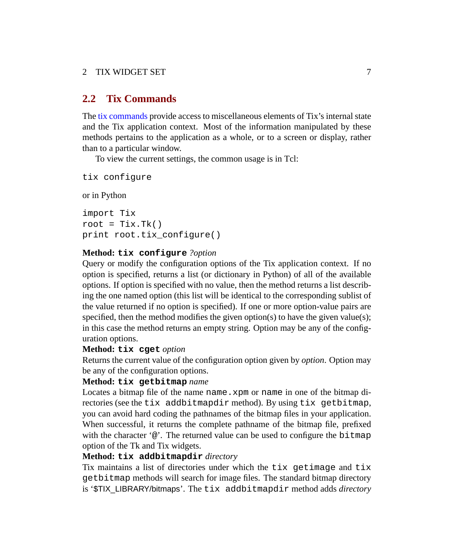### <span id="page-8-0"></span>**2.2 Tix Commands**

The [tix commands](http://tix.sourceforge.net/dist/current/man/html/TixCmd/tix.htm) provide access to miscellaneous elements of Tix's internal state and the Tix application context. Most of the information manipulated by these methods pertains to the application as a whole, or to a screen or display, rather than to a particular window.

To view the current settings, the common usage is in Tcl:

tix configure

or in Python

```
import Tix
root = Tix.Tk()print root.tix_configure()
```
#### **Method: tix configure** *?option*

Query or modify the configuration options of the Tix application context. If no option is specified, returns a list (or dictionary in Python) of all of the available options. If option is specified with no value, then the method returns a list describing the one named option (this list will be identical to the corresponding sublist of the value returned if no option is specified). If one or more option-value pairs are specified, then the method modifies the given option(s) to have the given value(s); in this case the method returns an empty string. Option may be any of the configuration options.

#### **Method: tix cget** *option*

Returns the current value of the configuration option given by *option*. Option may be any of the configuration options.

#### **Method: tix getbitmap** *name*

Locates a bitmap file of the name name.xpm or name in one of the bitmap directories (see the tix addbitmapdir method). By using tix getbitmap, you can avoid hard coding the pathnames of the bitmap files in your application. When successful, it returns the complete pathname of the bitmap file, prefixed with the character  $\omega$ . The returned value can be used to configure the bitmap option of the Tk and Tix widgets.

#### **Method: tix addbitmapdir** *directory*

Tix maintains a list of directories under which the tix getimage and tix getbitmap methods will search for image files. The standard bitmap directory is '\$TIX\_LIBRARY/bitmaps'. The tix addbitmapdir method adds *directory*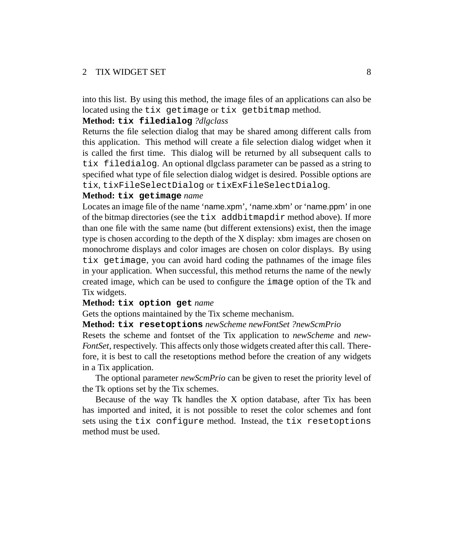into this list. By using this method, the image files of an applications can also be located using the tix getimage or tix getbitmap method.

#### **Method: tix filedialog** *?dlgclass*

Returns the file selection dialog that may be shared among different calls from this application. This method will create a file selection dialog widget when it is called the first time. This dialog will be returned by all subsequent calls to tix filedialog. An optional dlgclass parameter can be passed as a string to specified what type of file selection dialog widget is desired. Possible options are tix, tixFileSelectDialog or tixExFileSelectDialog.

#### **Method: tix getimage** *name*

Locates an image file of the name 'name.xpm', 'name.xbm' or 'name.ppm' in one of the bitmap directories (see the tix addbitmapdir method above). If more than one file with the same name (but different extensions) exist, then the image type is chosen according to the depth of the X display: xbm images are chosen on monochrome displays and color images are chosen on color displays. By using tix getimage, you can avoid hard coding the pathnames of the image files in your application. When successful, this method returns the name of the newly created image, which can be used to configure the image option of the Tk and Tix widgets.

#### **Method: tix option get** *name*

Gets the options maintained by the Tix scheme mechanism.

#### **Method: tix resetoptions** *newScheme newFontSet ?newScmPrio*

Resets the scheme and fontset of the Tix application to *newScheme* and *new-FontSet*, respectively. This affects only those widgets created after this call. Therefore, it is best to call the resetoptions method before the creation of any widgets in a Tix application.

The optional parameter *newScmPrio* can be given to reset the priority level of the Tk options set by the Tix schemes.

Because of the way Tk handles the X option database, after Tix has been has imported and inited, it is not possible to reset the color schemes and font sets using the tix configure method. Instead, the tix resetoptions method must be used.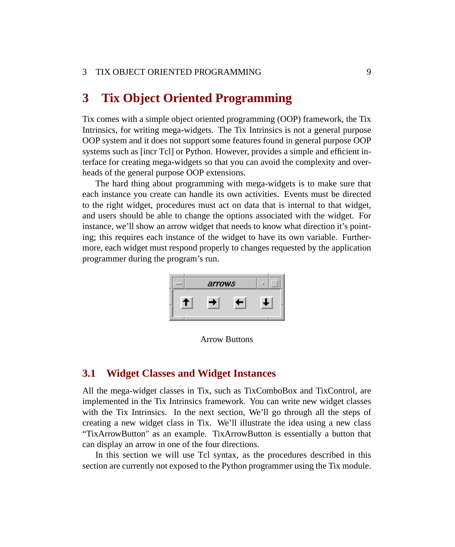### <span id="page-10-0"></span>**3 Tix Object Oriented Programming**

Tix comes with a simple object oriented programming (OOP) framework, the Tix Intrinsics, for writing mega-widgets. The Tix Intrinsics is not a general purpose OOP system and it does not support some features found in general purpose OOP systems such as [incr Tcl] or Python. However, provides a simple and efficient interface for creating mega-widgets so that you can avoid the complexity and overheads of the general purpose OOP extensions.

The hard thing about programming with mega-widgets is to make sure that each instance you create can handle its own activities. Events must be directed to the right widget, procedures must act on data that is internal to that widget, and users should be able to change the options associated with the widget. For instance, we'll show an arrow widget that needs to know what direction it's pointing; this requires each instance of the widget to have its own variable. Furthermore, each widget must respond properly to changes requested by the application programmer during the program's run.



Arrow Buttons

### <span id="page-10-1"></span>**3.1 Widget Classes and Widget Instances**

All the mega-widget classes in Tix, such as TixComboBox and TixControl, are implemented in the Tix Intrinsics framework. You can write new widget classes with the Tix Intrinsics. In the next section, We'll go through all the steps of creating a new widget class in Tix. We'll illustrate the idea using a new class "TixArrowButton" as an example. TixArrowButton is essentially a button that can display an arrow in one of the four directions.

In this section we will use Tcl syntax, as the procedures described in this section are currently not exposed to the Python programmer using the Tix module.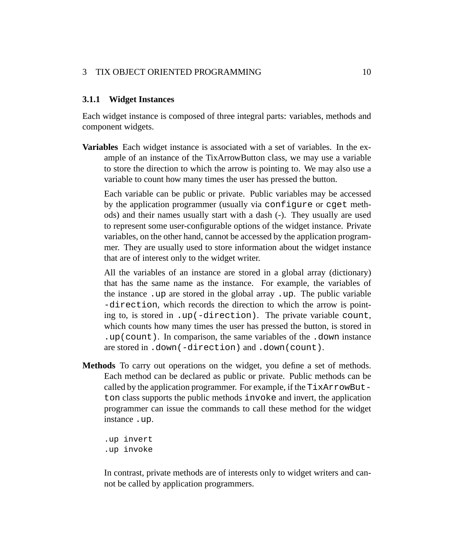### 3 TIX OBJECT ORIENTED PROGRAMMING 10

#### **3.1.1 Widget Instances**

Each widget instance is composed of three integral parts: variables, methods and component widgets.

**Variables** Each widget instance is associated with a set of variables. In the example of an instance of the TixArrowButton class, we may use a variable to store the direction to which the arrow is pointing to. We may also use a variable to count how many times the user has pressed the button.

Each variable can be public or private. Public variables may be accessed by the application programmer (usually via configure or cget methods) and their names usually start with a dash (-). They usually are used to represent some user-configurable options of the widget instance. Private variables, on the other hand, cannot be accessed by the application programmer. They are usually used to store information about the widget instance that are of interest only to the widget writer.

All the variables of an instance are stored in a global array (dictionary) that has the same name as the instance. For example, the variables of the instance .up are stored in the global array .up. The public variable -direction, which records the direction to which the arrow is pointing to, is stored in .up(-direction). The private variable count, which counts how many times the user has pressed the button, is stored in .up(count). In comparison, the same variables of the .down instance are stored in .down(-direction) and .down(count).

**Methods** To carry out operations on the widget, you define a set of methods. Each method can be declared as public or private. Public methods can be called by the application programmer. For example, if the TixArrowButton class supports the public methods invoke and invert, the application programmer can issue the commands to call these method for the widget instance .up.

.up invert .up invoke

In contrast, private methods are of interests only to widget writers and cannot be called by application programmers.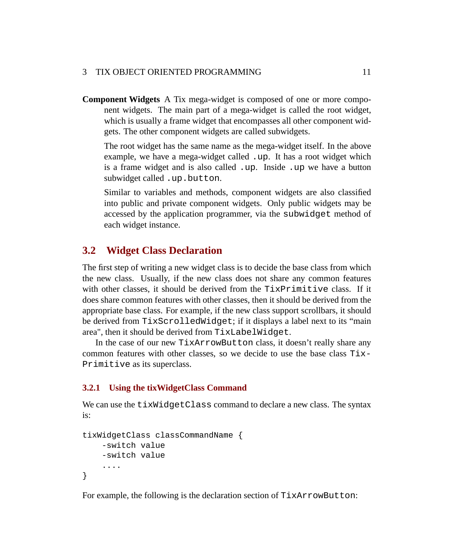### 3 TIX OBJECT ORIENTED PROGRAMMING 11

**Component Widgets** A Tix mega-widget is composed of one or more component widgets. The main part of a mega-widget is called the root widget, which is usually a frame widget that encompasses all other component widgets. The other component widgets are called subwidgets.

The root widget has the same name as the mega-widget itself. In the above example, we have a mega-widget called .up. It has a root widget which is a frame widget and is also called .up. Inside .up we have a button subwidget called .up.button.

Similar to variables and methods, component widgets are also classified into public and private component widgets. Only public widgets may be accessed by the application programmer, via the subwidget method of each widget instance.

### <span id="page-12-0"></span>**3.2 Widget Class Declaration**

The first step of writing a new widget class is to decide the base class from which the new class. Usually, if the new class does not share any common features with other classes, it should be derived from the TixPrimitive class. If it does share common features with other classes, then it should be derived from the appropriate base class. For example, if the new class support scrollbars, it should be derived from TixScrolledWidget; if it displays a label next to its "main area", then it should be derived from TixLabelWidget.

In the case of our new TixArrowButton class, it doesn't really share any common features with other classes, so we decide to use the base class  $Tix-$ Primitive as its superclass.

### **3.2.1 Using the tixWidgetClass Command**

We can use the tixWidgetClass command to declare a new class. The syntax is:

```
tixWidgetClass classCommandName {
    -switch value
    -switch value
    ....
}
```
For example, the following is the declaration section of TixArrowButton: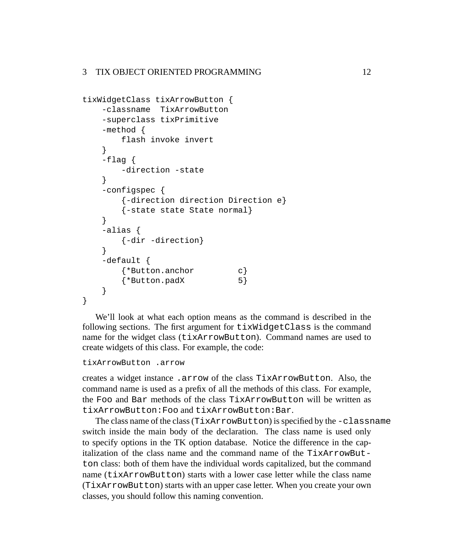```
tixWidgetClass tixArrowButton {
    -classname TixArrowButton
    -superclass tixPrimitive
    -method {
        flash invoke invert
    }
    -flag {
        -direction -state
    }
    -configspec {
        {-direction direction Direction e}
        {-state state State normal}
    }
    -alias {
       {-dir -direction}
    }
    -default {
        {*Button.anchor c}
        {\star}Button.padX 5}
    }
}
```
We'll look at what each option means as the command is described in the following sections. The first argument for tixWidgetClass is the command name for the widget class (tixArrowButton). Command names are used to create widgets of this class. For example, the code:

```
tixArrowButton .arrow
```
creates a widget instance .arrow of the class TixArrowButton. Also, the command name is used as a prefix of all the methods of this class. For example, the Foo and Bar methods of the class TixArrowButton will be written as tixArrowButton:Foo and tixArrowButton:Bar.

The class name of the class (TixArrowButton) is specified by the -classname switch inside the main body of the declaration. The class name is used only to specify options in the TK option database. Notice the difference in the capitalization of the class name and the command name of the TixArrowButton class: both of them have the individual words capitalized, but the command name (tixArrowButton) starts with a lower case letter while the class name (TixArrowButton) starts with an upper case letter. When you create your own classes, you should follow this naming convention.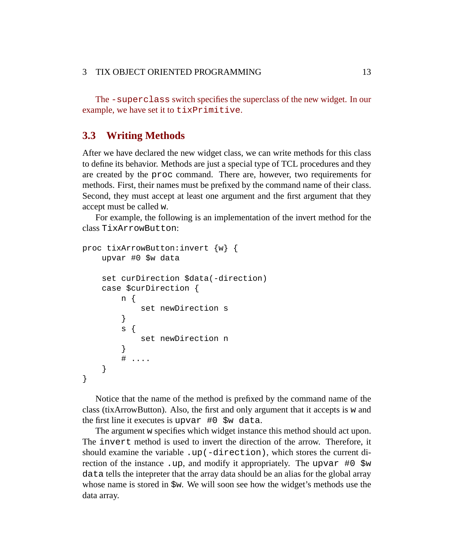The -superclass switch specifies the superclass of the new widget. In our example, we have set it to tixPrimitive.

### <span id="page-14-0"></span>**3.3 Writing Methods**

After we have declared the new widget class, we can write methods for this class to define its behavior. Methods are just a special type of TCL procedures and they are created by the proc command. There are, however, two requirements for methods. First, their names must be prefixed by the command name of their class. Second, they must accept at least one argument and the first argument that they accept must be called w.

For example, the following is an implementation of the invert method for the class TixArrowButton:

```
proc tixArrowButton:invert {w} {
    upvar #0 $w data
    set curDirection $data(-direction)
    case $curDirection {
        n {
            set newDirection s
        }
        s {
            set newDirection n
        }
        # ....
    }
}
```
Notice that the name of the method is prefixed by the command name of the class (tixArrowButton). Also, the first and only argument that it accepts is w and the first line it executes is upvar #0 \$w data.

The argument w specifies which widget instance this method should act upon. The invert method is used to invert the direction of the arrow. Therefore, it should examine the variable .up(-direction), which stores the current direction of the instance .up, and modify it appropriately. The upvar #0 \$w data tells the intepreter that the array data should be an alias for the global array whose name is stored in  $\gamma w$ . We will soon see how the widget's methods use the data array.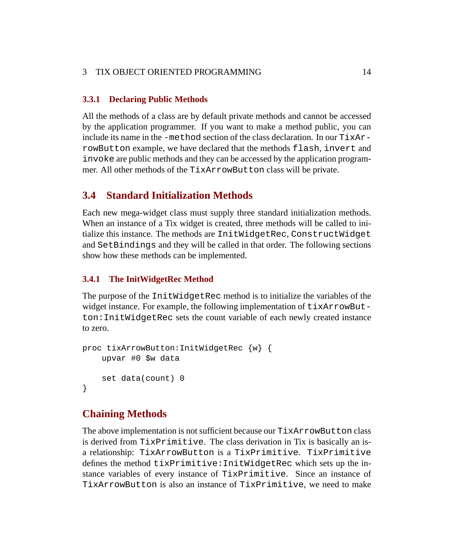### 3 TIX OBJECT ORIENTED PROGRAMMING 14

### **3.3.1 Declaring Public Methods**

All the methods of a class are by default private methods and cannot be accessed by the application programmer. If you want to make a method public, you can include its name in the -method section of the class declaration. In our TixArrowButton example, we have declared that the methods flash, invert and invoke are public methods and they can be accessed by the application programmer. All other methods of the TixArrowButton class will be private.

### <span id="page-15-0"></span>**3.4 Standard Initialization Methods**

Each new mega-widget class must supply three standard initialization methods. When an instance of a Tix widget is created, three methods will be called to initialize this instance. The methods are InitWidgetRec, ConstructWidget and SetBindings and they will be called in that order. The following sections show how these methods can be implemented.

### **3.4.1 The InitWidgetRec Method**

The purpose of the InitWidgetRec method is to initialize the variables of the widget instance. For example, the following implementation of  $\text{tixArrowBut}$ ton:InitWidgetRec sets the count variable of each newly created instance to zero.

```
proc tixArrowButton:InitWidgetRec {w} {
    upvar #0 $w data
    set data(count) 0
}
```
### **Chaining Methods**

The above implementation is not sufficient because our TixArrowButton class is derived from TixPrimitive. The class derivation in Tix is basically an isa relationship: TixArrowButton is a TixPrimitive. TixPrimitive defines the method tixPrimitive:InitWidgetRec which sets up the instance variables of every instance of TixPrimitive. Since an instance of TixArrowButton is also an instance of TixPrimitive, we need to make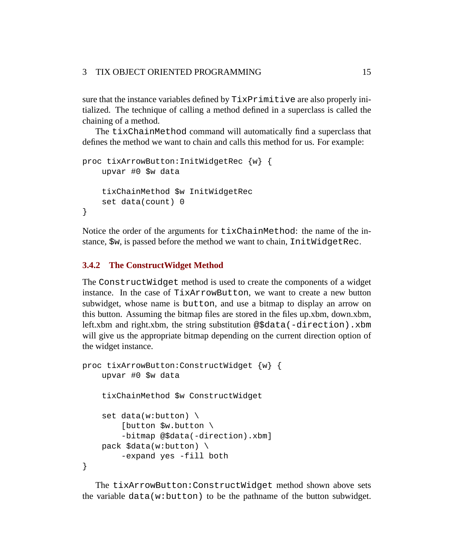sure that the instance variables defined by TixPrimitive are also properly initialized. The technique of calling a method defined in a superclass is called the chaining of a method.

The tixChainMethod command will automatically find a superclass that defines the method we want to chain and calls this method for us. For example:

```
proc tixArrowButton:InitWidgetRec {w} {
    upvar #0 $w data
    tixChainMethod $w InitWidgetRec
    set data(count) 0
}
```
Notice the order of the arguments for tixChainMethod: the name of the instance, \$w, is passed before the method we want to chain, InitWidgetRec.

### **3.4.2 The ConstructWidget Method**

The ConstructWidget method is used to create the components of a widget instance. In the case of TixArrowButton, we want to create a new button subwidget, whose name is button, and use a bitmap to display an arrow on this button. Assuming the bitmap files are stored in the files up.xbm, down.xbm, left.xbm and right.xbm, the string substitution @\$data(-direction).xbm will give us the appropriate bitmap depending on the current direction option of the widget instance.

```
proc tixArrowButton:ConstructWidget {w} {
    upvar #0 $w data
    tixChainMethod $w ConstructWidget
    set data(w:button) \
        [button $w.button \
        -bitmap @$data(-direction).xbm]
    pack $data(w:button) \
        -expand yes -fill both
}
```
The tixArrowButton:ConstructWidget method shown above sets the variable data(w:button) to be the pathname of the button subwidget.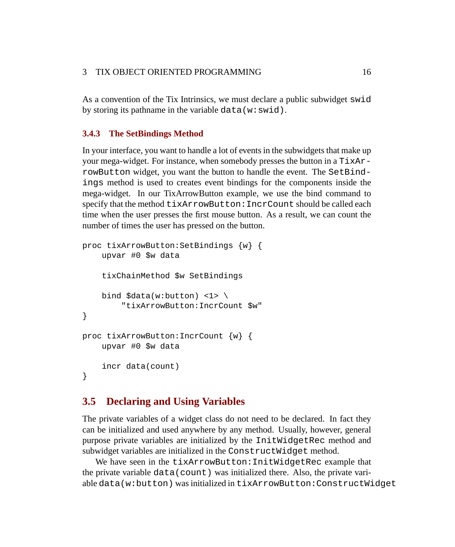As a convention of the Tix Intrinsics, we must declare a public subwidget swid by storing its pathname in the variable data( $w:$ swid).

### **3.4.3 The SetBindings Method**

In your interface, you want to handle a lot of events in the subwidgets that make up your mega-widget. For instance, when somebody presses the button in a TixArrowButton widget, you want the button to handle the event. The SetBindings method is used to creates event bindings for the components inside the mega-widget. In our TixArrowButton example, we use the bind command to specify that the method tixArrowButton:IncrCount should be called each time when the user presses the first mouse button. As a result, we can count the number of times the user has pressed on the button.

```
proc tixArrowButton:SetBindings {w} {
    upvar #0 $w data
    tixChainMethod $w SetBindings
    bind \text{data}(w:\text{button}) <1> \
        "tixArrowButton:IncrCount $w"
}
proc tixArrowButton:IncrCount {w} {
    upvar #0 $w data
    incr data(count)
}
```
### <span id="page-17-0"></span>**3.5 Declaring and Using Variables**

The private variables of a widget class do not need to be declared. In fact they can be initialized and used anywhere by any method. Usually, however, general purpose private variables are initialized by the InitWidgetRec method and subwidget variables are initialized in the ConstructWidget method.

We have seen in the tixArrowButton: InitWidgetRec example that the private variable data(count) was initialized there. Also, the private variable data(w:button) was initialized in tixArrowButton:ConstructWidget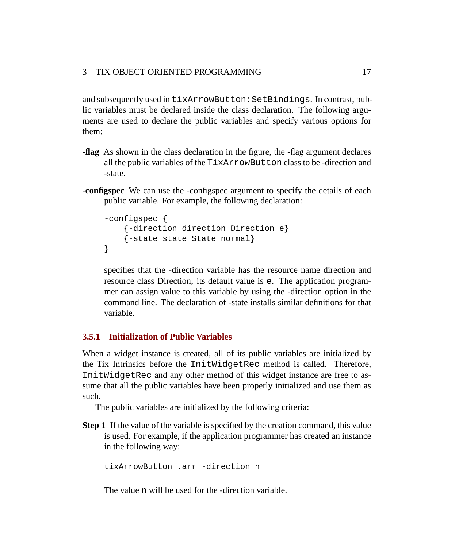and subsequently used in tixArrowButton:SetBindings. In contrast, public variables must be declared inside the class declaration. The following arguments are used to declare the public variables and specify various options for them:

- **-flag** As shown in the class declaration in the figure, the -flag argument declares all the public variables of the TixArrowButton class to be -direction and -state.
- **-configspec** We can use the -configspec argument to specify the details of each public variable. For example, the following declaration:

```
-configspec {
    {-direction direction Direction e}
    {-state state State normal}
}
```
specifies that the -direction variable has the resource name direction and resource class Direction; its default value is e. The application programmer can assign value to this variable by using the -direction option in the command line. The declaration of -state installs similar definitions for that variable.

### **3.5.1 Initialization of Public Variables**

When a widget instance is created, all of its public variables are initialized by the Tix Intrinsics before the InitWidgetRec method is called. Therefore, InitWidgetRec and any other method of this widget instance are free to assume that all the public variables have been properly initialized and use them as such.

The public variables are initialized by the following criteria:

**Step 1** If the value of the variable is specified by the creation command, this value is used. For example, if the application programmer has created an instance in the following way:

tixArrowButton .arr -direction n

The value n will be used for the -direction variable.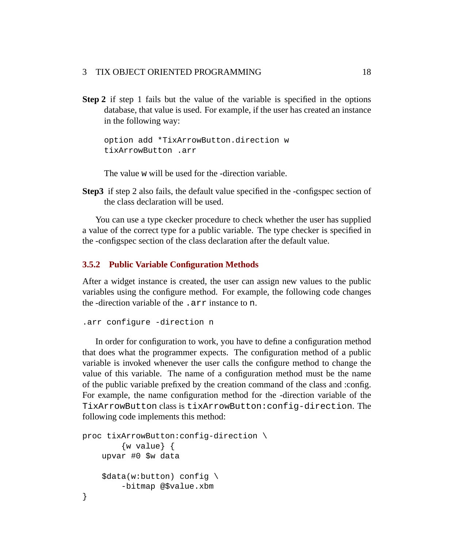### 3 TIX OBJECT ORIENTED PROGRAMMING 18

**Step 2** if step 1 fails but the value of the variable is specified in the options database, that value is used. For example, if the user has created an instance in the following way:

option add \*TixArrowButton.direction w tixArrowButton .arr

The value w will be used for the -direction variable.

**Step3** if step 2 also fails, the default value specified in the -configspec section of the class declaration will be used.

You can use a type ckecker procedure to check whether the user has supplied a value of the correct type for a public variable. The type checker is specified in the -configspec section of the class declaration after the default value.

### **3.5.2 Public Variable Configuration Methods**

After a widget instance is created, the user can assign new values to the public variables using the configure method. For example, the following code changes the -direction variable of the .arr instance to n.

```
.arr configure -direction n
```
In order for configuration to work, you have to define a configuration method that does what the programmer expects. The configuration method of a public variable is invoked whenever the user calls the configure method to change the value of this variable. The name of a configuration method must be the name of the public variable prefixed by the creation command of the class and :config. For example, the name configuration method for the -direction variable of the TixArrowButton class is tixArrowButton:config-direction. The following code implements this method:

```
proc tixArrowButton:config-direction \
         {w value} {
    upvar #0 $w data
    \text{Sdata}(w:\text{button}) config \
         -bitmap @$value.xbm
}
```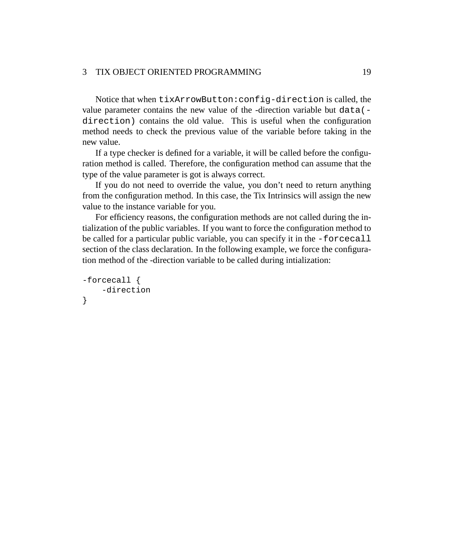### 3 TIX OBJECT ORIENTED PROGRAMMING 19

Notice that when tixArrowButton:config-direction is called, the value parameter contains the new value of the -direction variable but data( direction) contains the old value. This is useful when the configuration method needs to check the previous value of the variable before taking in the new value.

If a type checker is defined for a variable, it will be called before the configuration method is called. Therefore, the configuration method can assume that the type of the value parameter is got is always correct.

If you do not need to override the value, you don't need to return anything from the configuration method. In this case, the Tix Intrinsics will assign the new value to the instance variable for you.

For efficiency reasons, the configuration methods are not called during the intialization of the public variables. If you want to force the configuration method to be called for a particular public variable, you can specify it in the -forcecall section of the class declaration. In the following example, we force the configuration method of the -direction variable to be called during intialization:

```
-forcecall {
    -direction
}
```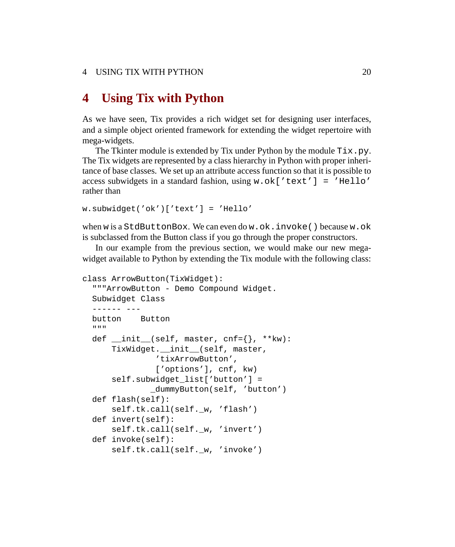### <span id="page-21-0"></span>**4 Using Tix with Python**

As we have seen, Tix provides a rich widget set for designing user interfaces, and a simple object oriented framework for extending the widget repertoire with mega-widgets.

The Tkinter module is extended by Tix under Python by the module  $\text{Fix } p$ . The Tix widgets are represented by a class hierarchy in Python with proper inheritance of base classes. We set up an attribute access function so that it is possible to access subwidgets in a standard fashion, using  $w \cdot \text{ok}$  ['text'] = 'Hello' rather than

```
w.subwidget('ok')['text'] = 'Hello'
```
when w is a StdButtonBox. We can even do w.ok.invoke() because w.ok is subclassed from the Button class if you go through the proper constructors.

In our example from the previous section, we would make our new megawidget available to Python by extending the Tix module with the following class:

```
class ArrowButton(TixWidget):
  """ArrowButton - Demo Compound Widget.
 Subwidget Class
  ------ ---
 button Button
  """
 def _init_ (self, master, cnf={}), **kw):
     TixWidget.__init__(self, master,
               'tixArrowButton',
               ['options'], cnf, kw)
      self.subwidget_list['button'] =
              _dummyButton(self, 'button')
 def flash(self):
      self.tk.call(self._w, 'flash')
 def invert(self):
      self.tk.call(self._w, 'invert')
 def invoke(self):
      self.tk.call(self._w, 'invoke')
```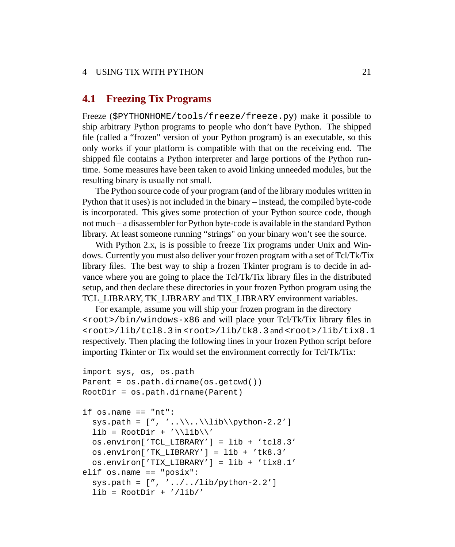### 4 USING TIX WITH PYTHON 21

### <span id="page-22-0"></span>**4.1 Freezing Tix Programs**

Freeze (\$PYTHONHOME/tools/freeze/freeze.py) make it possible to ship arbitrary Python programs to people who don't have Python. The shipped file (called a "frozen" version of your Python program) is an executable, so this only works if your platform is compatible with that on the receiving end. The shipped file contains a Python interpreter and large portions of the Python runtime. Some measures have been taken to avoid linking unneeded modules, but the resulting binary is usually not small.

The Python source code of your program (and of the library modules written in Python that it uses) is not included in the binary – instead, the compiled byte-code is incorporated. This gives some protection of your Python source code, though not much – a disassembler for Python byte-code is available in the standard Python library. At least someone running "strings" on your binary won't see the source.

With Python 2.x, is is possible to freeze Tix programs under Unix and Windows. Currently you must also deliver your frozen program with a set of Tcl/Tk/Tix library files. The best way to ship a frozen Tkinter program is to decide in advance where you are going to place the Tcl/Tk/Tix library files in the distributed setup, and then declare these directories in your frozen Python program using the TCL\_LIBRARY, TK\_LIBRARY and TIX\_LIBRARY environment variables.

For example, assume you will ship your frozen program in the directory <root>/bin/windows-x86 and will place your Tcl/Tk/Tix library files in <root>/lib/tcl8.3 in <root>/lib/tk8.3 and <root>/lib/tix8.1 respectively. Then placing the following lines in your frozen Python script before importing Tkinter or Tix would set the environment correctly for Tcl/Tk/Tix:

```
import sys, os, os.path
Parent = os.path.dirname(os.getcwd())
RootDir = os.path.dirname(Parent)
if os.name == "nt":
  sys.path = [", ', . \\\.\\\lib\\python-2.2']lib = RootDir + '\\lib\\'os.environ['TCL_LIBRARY'] = lib + 'tcl8.3'
  os.environ['TK_LIBRARY'] = lib + 'tk8.3'
  os.environ['TIX_LIBRARY'] = lib + 'tix8.1'
elif os.name == "posix":
  sys.path = [", ', . . / . . / lib/python-2.2']lib = RootDir + 'lib/'
```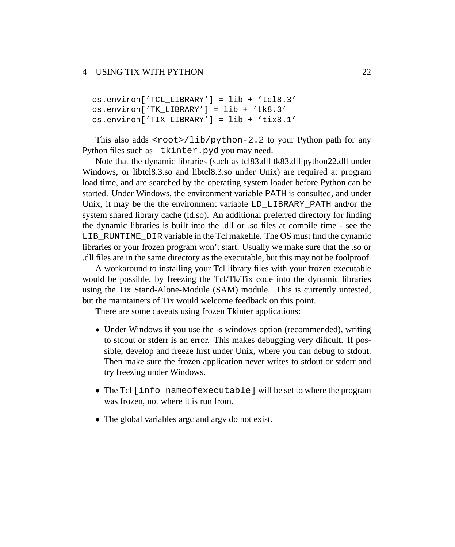### 4 USING TIX WITH PYTHON 22

```
os.environ['TCL_LIBRARY'] = lib + 'tcl8.3'
os.environ['TK_LIBRARY'] = lib + 'tk8.3'
os.environ['TIX_LIBRARY'] = lib + 'tix8.1'
```
This also adds  $<$ root>/lib/python-2.2 to your Python path for any Python files such as \_tkinter.pyd you may need.

Note that the dynamic libraries (such as tcl83.dll tk83.dll python22.dll under Windows, or libtcl8.3.so and libtcl8.3.so under Unix) are required at program load time, and are searched by the operating system loader before Python can be started. Under Windows, the environment variable PATH is consulted, and under Unix, it may be the the environment variable LD\_LIBRARY\_PATH and/or the system shared library cache (ld.so). An additional preferred directory for finding the dynamic libraries is built into the .dll or .so files at compile time - see the LIB RUNTIME DIR variable in the Tcl makefile. The OS must find the dynamic libraries or your frozen program won't start. Usually we make sure that the .so or .dll files are in the same directory as the executable, but this may not be foolproof.

A workaround to installing your Tcl library files with your frozen executable would be possible, by freezing the Tcl/Tk/Tix code into the dynamic libraries using the Tix Stand-Alone-Module (SAM) module. This is currently untested, but the maintainers of Tix would welcome feedback on this point.

There are some caveats using frozen Tkinter applications:

- Under Windows if you use the -s windows option (recommended), writing to stdout or stderr is an error. This makes debugging very dificult. If possible, develop and freeze first under Unix, where you can debug to stdout. Then make sure the frozen application never writes to stdout or stderr and try freezing under Windows.
- The Tcl [info nameofexecutable] will be set to where the program was frozen, not where it is run from.
- The global variables argc and argv do not exist.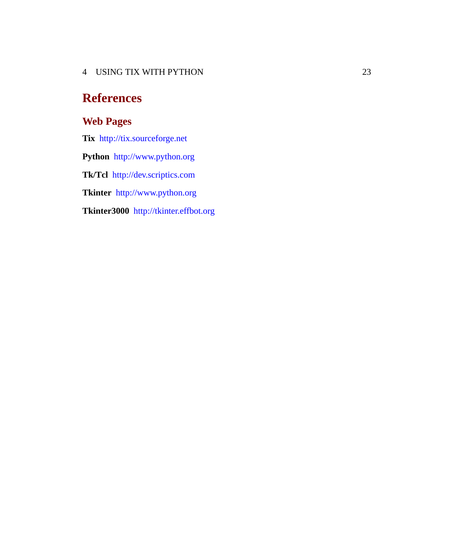4 USING TIX WITH PYTHON 23

# **References**

### **Web Pages**

**Tix** <http://tix.sourceforge.net> **Python** <http://www.python.org> **Tk/Tcl** <http://dev.scriptics.com> **Tkinter** <http://www.python.org> **Tkinter3000** <http://tkinter.effbot.org>